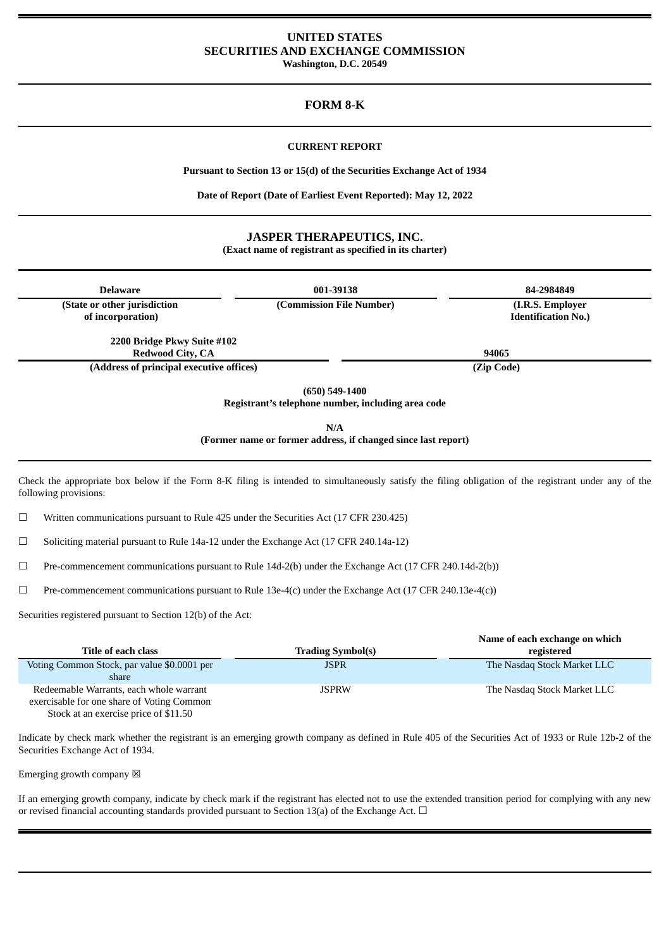# **UNITED STATES SECURITIES AND EXCHANGE COMMISSION**

**Washington, D.C. 20549**

# **FORM 8-K**

# **CURRENT REPORT**

**Pursuant to Section 13 or 15(d) of the Securities Exchange Act of 1934**

**Date of Report (Date of Earliest Event Reported): May 12, 2022**

# **JASPER THERAPEUTICS, INC.**

**(Exact name of registrant as specified in its charter)**

| <b>Delaware</b>                                                          | 001-39138                                                            | 84-2984849                                     |  |  |
|--------------------------------------------------------------------------|----------------------------------------------------------------------|------------------------------------------------|--|--|
| (State or other jurisdiction<br>of incorporation)                        | (Commission File Number)                                             | (I.R.S. Employer<br><b>Identification No.)</b> |  |  |
| 2200 Bridge Pkwy Suite #102                                              |                                                                      |                                                |  |  |
| <b>Redwood City, CA</b>                                                  |                                                                      | 94065                                          |  |  |
| (Address of principal executive offices)                                 |                                                                      | (Zip Code)                                     |  |  |
| $(650) 549 - 1400$<br>Registrant's telephone number, including area code |                                                                      |                                                |  |  |
|                                                                          | N/A<br>(Former name or former address, if changed since last report) |                                                |  |  |

Check the appropriate box below if the Form 8-K filing is intended to simultaneously satisfy the filing obligation of the registrant under any of the following provisions:

☐ Written communications pursuant to Rule 425 under the Securities Act (17 CFR 230.425)

☐ Soliciting material pursuant to Rule 14a-12 under the Exchange Act (17 CFR 240.14a-12)

☐ Pre-commencement communications pursuant to Rule 14d-2(b) under the Exchange Act (17 CFR 240.14d-2(b))

☐ Pre-commencement communications pursuant to Rule 13e-4(c) under the Exchange Act (17 CFR 240.13e-4(c))

Securities registered pursuant to Section 12(b) of the Act:

| Title of each class                                                                   | <b>Trading Symbol(s)</b> | Name of each exchange on which<br>registered |
|---------------------------------------------------------------------------------------|--------------------------|----------------------------------------------|
| Voting Common Stock, par value \$0.0001 per<br>share                                  | <b>JSPR</b>              | The Nasdag Stock Market LLC                  |
| Redeemable Warrants, each whole warrant<br>exercisable for one share of Voting Common | <b>JSPRW</b>             | The Nasdag Stock Market LLC                  |

Stock at an exercise price of \$11.50

Indicate by check mark whether the registrant is an emerging growth company as defined in Rule 405 of the Securities Act of 1933 or Rule 12b-2 of the Securities Exchange Act of 1934.

Emerging growth company  $\boxtimes$ 

If an emerging growth company, indicate by check mark if the registrant has elected not to use the extended transition period for complying with any new or revised financial accounting standards provided pursuant to Section 13(a) of the Exchange Act.  $\Box$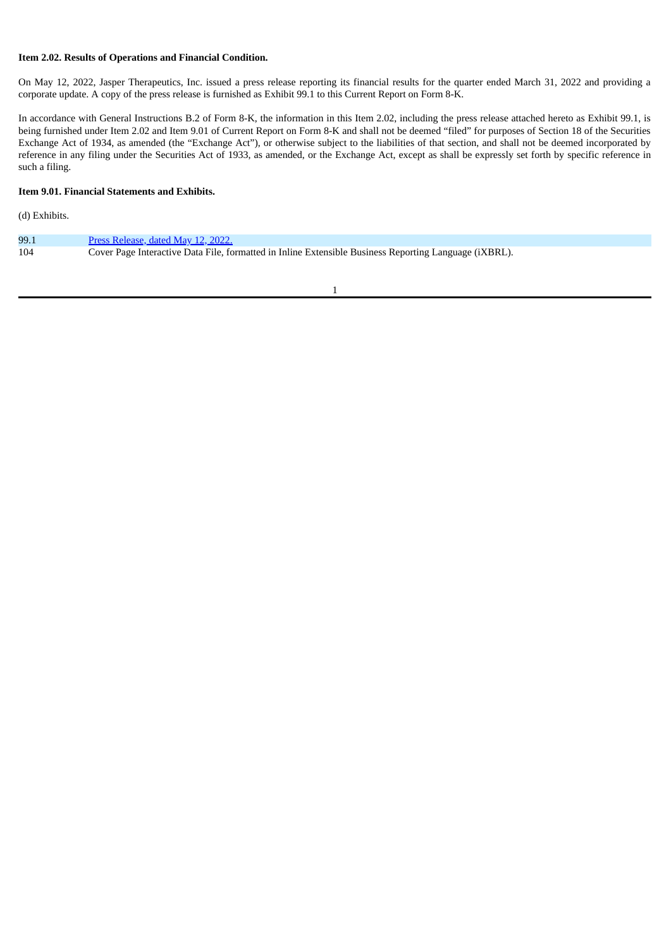# **Item 2.02. Results of Operations and Financial Condition.**

On May 12, 2022, Jasper Therapeutics, Inc. issued a press release reporting its financial results for the quarter ended March 31, 2022 and providing a corporate update. A copy of the press release is furnished as Exhibit 99.1 to this Current Report on Form 8-K.

In accordance with General Instructions B.2 of Form 8-K, the information in this Item 2.02, including the press release attached hereto as Exhibit 99.1, is being furnished under Item 2.02 and Item 9.01 of Current Report on Form 8-K and shall not be deemed "filed" for purposes of Section 18 of the Securities Exchange Act of 1934, as amended (the "Exchange Act"), or otherwise subject to the liabilities of that section, and shall not be deemed incorporated by reference in any filing under the Securities Act of 1933, as amended, or the Exchange Act, except as shall be expressly set forth by specific reference in such a filing.

# **Item 9.01. Financial Statements and Exhibits.**

(d) Exhibits.

| 99.1 | <u>Press Release, dated May 12, 2022.</u>                                                             |
|------|-------------------------------------------------------------------------------------------------------|
| 104  | Cover Page Interactive Data File, formatted in Inline Extensible Business Reporting Language (iXBRL). |

1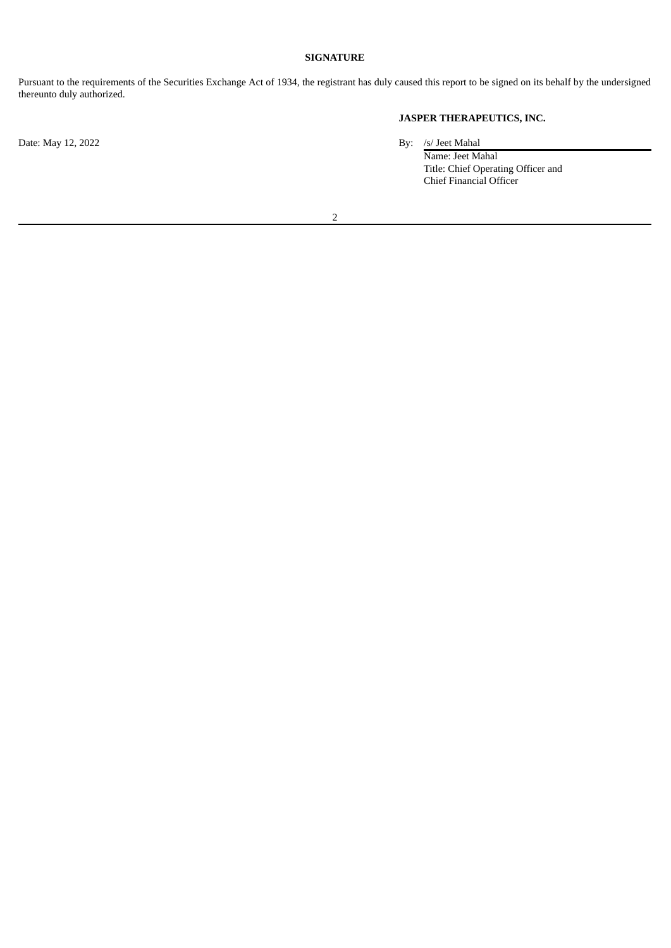# **SIGNATURE**

Pursuant to the requirements of the Securities Exchange Act of 1934, the registrant has duly caused this report to be signed on its behalf by the undersigned thereunto duly authorized.

# **JASPER THERAPEUTICS, INC.**

Date: May 12, 2022 By: /s/ Jeet Mahal

Name: Jeet Mahal Title: Chief Operating Officer and Chief Financial Officer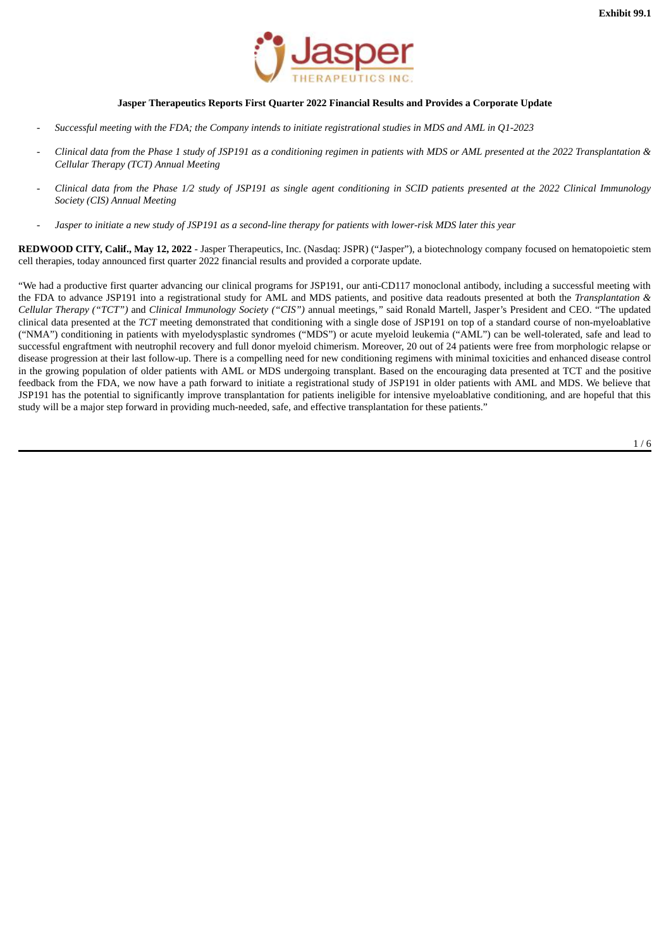

## **Jasper Therapeutics Reports First Quarter 2022 Financial Results and Provides a Corporate Update**

- <span id="page-3-0"></span>Successful meeting with the FDA; the Company intends to initiate registrational studies in MDS and AML in Q1-2023
- Clinical data from the Phase 1 study of JSP191 as a conditioning regimen in patients with MDS or AML presented at the 2022 Transplantation & *Cellular Therapy (TCT) Annual Meeting*
- Clinical data from the Phase 1/2 study of JSP191 as single agent conditioning in SCID patients presented at the 2022 Clinical Immunology *Society (CIS) Annual Meeting*
- Jasper to initiate a new study of JSP191 as a second-line therapy for patients with lower-risk MDS later this year

**REDWOOD CITY, Calif., May 12, 2022** - Jasper Therapeutics, Inc. (Nasdaq: JSPR) ("Jasper"), a biotechnology company focused on hematopoietic stem cell therapies, today announced first quarter 2022 financial results and provided a corporate update.

"We had a productive first quarter advancing our clinical programs for JSP191, our anti-CD117 monoclonal antibody, including a successful meeting with the FDA to advance JSP191 into a registrational study for AML and MDS patients, and positive data readouts presented at both the *Transplantation & Cellular Therapy ("TCT")* and *Clinical Immunology Society ("CIS")* annual meetings*,"* said Ronald Martell, Jasper's President and CEO. "The updated clinical data presented at the *TCT* meeting demonstrated that conditioning with a single dose of JSP191 on top of a standard course of non-myeloablative ("NMA") conditioning in patients with myelodysplastic syndromes ("MDS") or acute myeloid leukemia ("AML") can be well-tolerated, safe and lead to successful engraftment with neutrophil recovery and full donor myeloid chimerism. Moreover, 20 out of 24 patients were free from morphologic relapse or disease progression at their last follow-up. There is a compelling need for new conditioning regimens with minimal toxicities and enhanced disease control in the growing population of older patients with AML or MDS undergoing transplant. Based on the encouraging data presented at TCT and the positive feedback from the FDA, we now have a path forward to initiate a registrational study of JSP191 in older patients with AML and MDS. We believe that JSP191 has the potential to significantly improve transplantation for patients ineligible for intensive myeloablative conditioning, and are hopeful that this study will be a major step forward in providing much-needed, safe, and effective transplantation for these patients."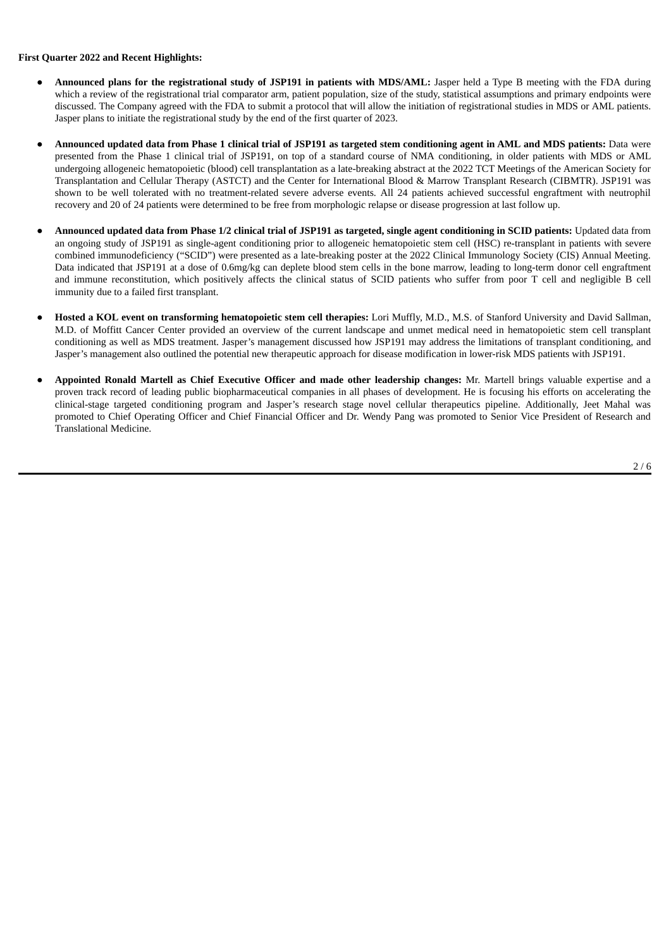#### **First Quarter 2022 and Recent Highlights:**

- **Announced plans for the registrational study of JSP191 in patients with MDS/AML:** Jasper held a Type B meeting with the FDA during which a review of the registrational trial comparator arm, patient population, size of the study, statistical assumptions and primary endpoints were discussed. The Company agreed with the FDA to submit a protocol that will allow the initiation of registrational studies in MDS or AML patients. Jasper plans to initiate the registrational study by the end of the first quarter of 2023.
- Announced updated data from Phase 1 clinical trial of JSP191 as targeted stem conditioning agent in AML and MDS patients: Data were presented from the Phase 1 clinical trial of JSP191, on top of a standard course of NMA conditioning, in older patients with MDS or AML undergoing allogeneic hematopoietic (blood) cell transplantation as a late-breaking abstract at the 2022 TCT Meetings of the American Society for Transplantation and Cellular Therapy (ASTCT) and the Center for International Blood & Marrow Transplant Research (CIBMTR). JSP191 was shown to be well tolerated with no treatment-related severe adverse events. All 24 patients achieved successful engraftment with neutrophil recovery and 20 of 24 patients were determined to be free from morphologic relapse or disease progression at last follow up.
- Announced updated data from Phase 1/2 clinical trial of JSP191 as targeted, single agent conditioning in SCID patients: Updated data from an ongoing study of JSP191 as single-agent conditioning prior to allogeneic hematopoietic stem cell (HSC) re-transplant in patients with severe combined immunodeficiency ("SCID") were presented as a late-breaking poster at the 2022 Clinical Immunology Society (CIS) Annual Meeting. Data indicated that JSP191 at a dose of 0.6mg/kg can deplete blood stem cells in the bone marrow, leading to long-term donor cell engraftment and immune reconstitution, which positively affects the clinical status of SCID patients who suffer from poor T cell and negligible B cell immunity due to a failed first transplant.
- **Hosted a KOL event on transforming hematopoietic stem cell therapies:** Lori Muffly, M.D., M.S. of Stanford University and David Sallman, M.D. of Moffitt Cancer Center provided an overview of the current landscape and unmet medical need in hematopoietic stem cell transplant conditioning as well as MDS treatment. Jasper's management discussed how JSP191 may address the limitations of transplant conditioning, and Jasper's management also outlined the potential new therapeutic approach for disease modification in lower-risk MDS patients with JSP191.
- **Appointed Ronald Martell as Chief Executive Officer and made other leadership changes:** Mr. Martell brings valuable expertise and a proven track record of leading public biopharmaceutical companies in all phases of development. He is focusing his efforts on accelerating the clinical-stage targeted conditioning program and Jasper's research stage novel cellular therapeutics pipeline. Additionally, Jeet Mahal was promoted to Chief Operating Officer and Chief Financial Officer and Dr. Wendy Pang was promoted to Senior Vice President of Research and Translational Medicine.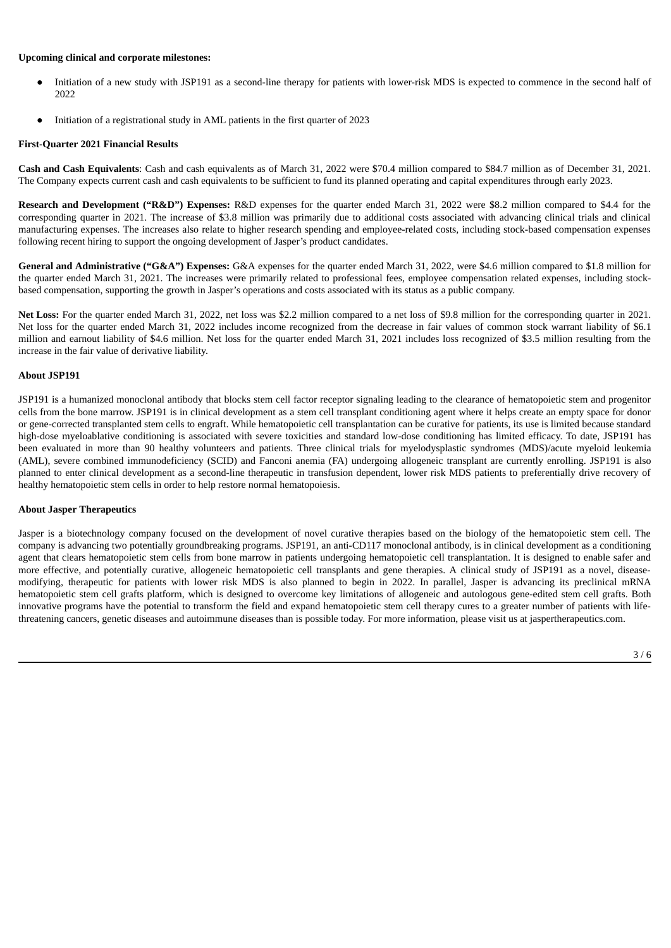#### **Upcoming clinical and corporate milestones:**

- Initiation of a new study with JSP191 as a second-line therapy for patients with lower-risk MDS is expected to commence in the second half of 2022
- Initiation of a registrational study in AML patients in the first quarter of 2023

## **First-Quarter 2021 Financial Results**

**Cash and Cash Equivalents**: Cash and cash equivalents as of March 31, 2022 were \$70.4 million compared to \$84.7 million as of December 31, 2021. The Company expects current cash and cash equivalents to be sufficient to fund its planned operating and capital expenditures through early 2023.

**Research and Development ("R&D") Expenses:** R&D expenses for the quarter ended March 31, 2022 were \$8.2 million compared to \$4.4 for the corresponding quarter in 2021. The increase of \$3.8 million was primarily due to additional costs associated with advancing clinical trials and clinical manufacturing expenses. The increases also relate to higher research spending and employee-related costs, including stock-based compensation expenses following recent hiring to support the ongoing development of Jasper's product candidates.

**General and Administrative ("G&A") Expenses:** G&A expenses for the quarter ended March 31, 2022, were \$4.6 million compared to \$1.8 million for the quarter ended March 31, 2021. The increases were primarily related to professional fees, employee compensation related expenses, including stockbased compensation, supporting the growth in Jasper's operations and costs associated with its status as a public company.

**Net Loss:** For the quarter ended March 31, 2022, net loss was \$2.2 million compared to a net loss of \$9.8 million for the corresponding quarter in 2021. Net loss for the quarter ended March 31, 2022 includes income recognized from the decrease in fair values of common stock warrant liability of \$6.1 million and earnout liability of \$4.6 million. Net loss for the quarter ended March 31, 2021 includes loss recognized of \$3.5 million resulting from the increase in the fair value of derivative liability.

#### **About JSP191**

JSP191 is a humanized monoclonal antibody that blocks stem cell factor receptor signaling leading to the clearance of hematopoietic stem and progenitor cells from the bone marrow. JSP191 is in clinical development as a stem cell transplant conditioning agent where it helps create an empty space for donor or gene-corrected transplanted stem cells to engraft. While hematopoietic cell transplantation can be curative for patients, its use is limited because standard high-dose myeloablative conditioning is associated with severe toxicities and standard low-dose conditioning has limited efficacy. To date, JSP191 has been evaluated in more than 90 healthy volunteers and patients. Three clinical trials for myelodysplastic syndromes (MDS)/acute myeloid leukemia (AML), severe combined immunodeficiency (SCID) and Fanconi anemia (FA) undergoing allogeneic transplant are currently enrolling. JSP191 is also planned to enter clinical development as a second-line therapeutic in transfusion dependent, lower risk MDS patients to preferentially drive recovery of healthy hematopoietic stem cells in order to help restore normal hematopoiesis.

### **About Jasper Therapeutics**

Jasper is a biotechnology company focused on the development of novel curative therapies based on the biology of the hematopoietic stem cell. The company is advancing two potentially groundbreaking programs. JSP191, an anti-CD117 monoclonal antibody, is in clinical development as a conditioning agent that clears hematopoietic stem cells from bone marrow in patients undergoing hematopoietic cell transplantation. It is designed to enable safer and more effective, and potentially curative, allogeneic hematopoietic cell transplants and gene therapies. A clinical study of JSP191 as a novel, diseasemodifying, therapeutic for patients with lower risk MDS is also planned to begin in 2022. In parallel, Jasper is advancing its preclinical mRNA hematopoietic stem cell grafts platform, which is designed to overcome key limitations of allogeneic and autologous gene-edited stem cell grafts. Both innovative programs have the potential to transform the field and expand hematopoietic stem cell therapy cures to a greater number of patients with lifethreatening cancers, genetic diseases and autoimmune diseases than is possible today. For more information, please visit us at jaspertherapeutics.com.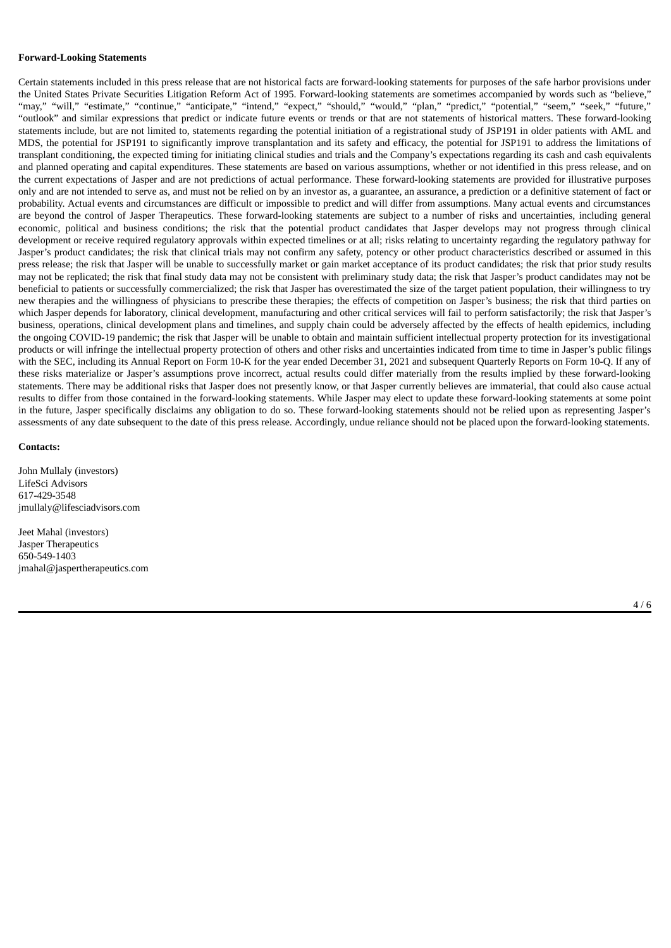#### **Forward-Looking Statements**

Certain statements included in this press release that are not historical facts are forward-looking statements for purposes of the safe harbor provisions under the United States Private Securities Litigation Reform Act of 1995. Forward-looking statements are sometimes accompanied by words such as "believe," "may," "will," "estimate," "continue," "anticipate," "intend," "expect," "should," "would," "plan," "predict," "potential," "seem," "seek," "future," "outlook" and similar expressions that predict or indicate future events or trends or that are not statements of historical matters. These forward-looking statements include, but are not limited to, statements regarding the potential initiation of a registrational study of JSP191 in older patients with AML and MDS, the potential for JSP191 to significantly improve transplantation and its safety and efficacy, the potential for JSP191 to address the limitations of transplant conditioning, the expected timing for initiating clinical studies and trials and the Company's expectations regarding its cash and cash equivalents and planned operating and capital expenditures. These statements are based on various assumptions, whether or not identified in this press release, and on the current expectations of Jasper and are not predictions of actual performance. These forward-looking statements are provided for illustrative purposes only and are not intended to serve as, and must not be relied on by an investor as, a guarantee, an assurance, a prediction or a definitive statement of fact or probability. Actual events and circumstances are difficult or impossible to predict and will differ from assumptions. Many actual events and circumstances are beyond the control of Jasper Therapeutics. These forward-looking statements are subject to a number of risks and uncertainties, including general economic, political and business conditions; the risk that the potential product candidates that Jasper develops may not progress through clinical development or receive required regulatory approvals within expected timelines or at all; risks relating to uncertainty regarding the regulatory pathway for Jasper's product candidates; the risk that clinical trials may not confirm any safety, potency or other product characteristics described or assumed in this press release; the risk that Jasper will be unable to successfully market or gain market acceptance of its product candidates; the risk that prior study results may not be replicated; the risk that final study data may not be consistent with preliminary study data; the risk that Jasper's product candidates may not be beneficial to patients or successfully commercialized; the risk that Jasper has overestimated the size of the target patient population, their willingness to try new therapies and the willingness of physicians to prescribe these therapies; the effects of competition on Jasper's business; the risk that third parties on which Jasper depends for laboratory, clinical development, manufacturing and other critical services will fail to perform satisfactorily; the risk that Jasper's business, operations, clinical development plans and timelines, and supply chain could be adversely affected by the effects of health epidemics, including the ongoing COVID-19 pandemic; the risk that Jasper will be unable to obtain and maintain sufficient intellectual property protection for its investigational products or will infringe the intellectual property protection of others and other risks and uncertainties indicated from time to time in Jasper's public filings with the SEC, including its Annual Report on Form 10-K for the year ended December 31, 2021 and subsequent Quarterly Reports on Form 10-Q. If any of these risks materialize or Jasper's assumptions prove incorrect, actual results could differ materially from the results implied by these forward-looking statements. There may be additional risks that Jasper does not presently know, or that Jasper currently believes are immaterial, that could also cause actual results to differ from those contained in the forward-looking statements. While Jasper may elect to update these forward-looking statements at some point in the future, Jasper specifically disclaims any obligation to do so. These forward-looking statements should not be relied upon as representing Jasper's assessments of any date subsequent to the date of this press release. Accordingly, undue reliance should not be placed upon the forward-looking statements.

#### **Contacts:**

John Mullaly (investors) LifeSci Advisors 617-429-3548 jmullaly@lifesciadvisors.com

Jeet Mahal (investors) Jasper Therapeutics 650-549-1403 jmahal@jaspertherapeutics.com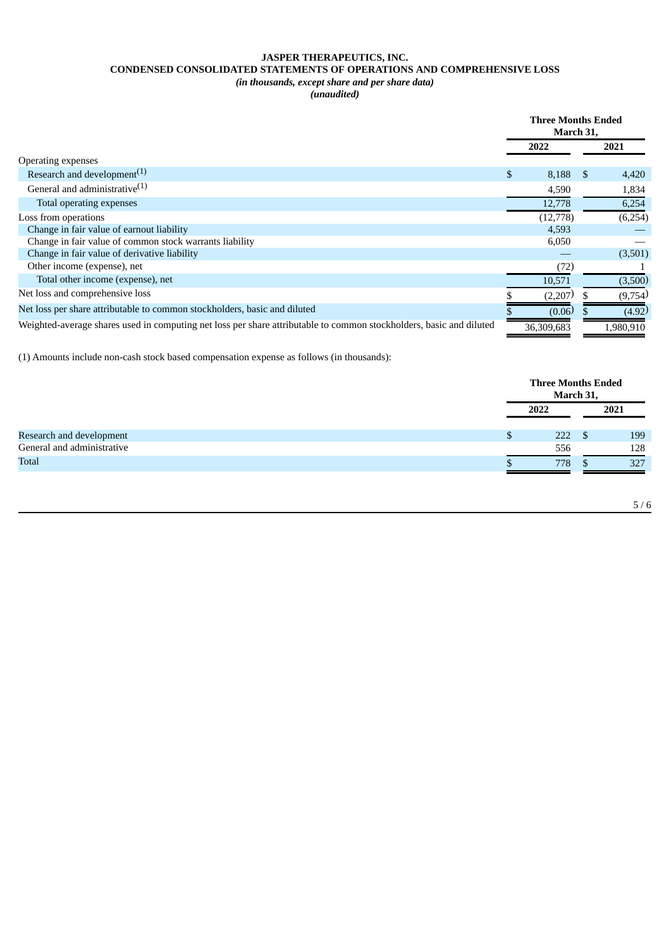# **JASPER THERAPEUTICS, INC. CONDENSED CONSOLIDATED STATEMENTS OF OPERATIONS AND COMPREHENSIVE LOSS** *(in thousands, except share and per share data)*

*(unaudited)*

|                                                                                                                     | <b>Three Months Ended</b><br>March 31, |            |      |           |
|---------------------------------------------------------------------------------------------------------------------|----------------------------------------|------------|------|-----------|
|                                                                                                                     |                                        | 2022       |      | 2021      |
| Operating expenses                                                                                                  |                                        |            |      |           |
| Research and development <sup><math>(1)</math></sup>                                                                | \$.                                    | 8,188      | - \$ | 4,420     |
| General and administrative $(1)$                                                                                    |                                        | 4,590      |      | 1,834     |
| Total operating expenses                                                                                            |                                        | 12,778     |      | 6,254     |
| Loss from operations                                                                                                |                                        | (12,778)   |      | (6,254)   |
| Change in fair value of earnout liability                                                                           |                                        | 4,593      |      |           |
| Change in fair value of common stock warrants liability                                                             |                                        | 6,050      |      |           |
| Change in fair value of derivative liability                                                                        |                                        |            |      | (3,501)   |
| Other income (expense), net                                                                                         |                                        | (72)       |      |           |
| Total other income (expense), net                                                                                   |                                        | 10,571     |      | (3,500)   |
| Net loss and comprehensive loss                                                                                     |                                        | (2,207)    |      | (9,754)   |
| Net loss per share attributable to common stockholders, basic and diluted                                           |                                        | (0.06)     |      | (4.92)    |
| Weighted-average shares used in computing net loss per share attributable to common stockholders, basic and diluted |                                        | 36,309,683 |      | 1,980,910 |

(1) Amounts include non-cash stock based compensation expense as follows (in thousands):

|                            | <b>Three Months Ended</b><br>March 31, |   |      |  |
|----------------------------|----------------------------------------|---|------|--|
|                            | 2022                                   |   | 2021 |  |
| Research and development   | 222                                    | S | 199  |  |
| General and administrative | 556                                    |   | 128  |  |
| <b>Total</b>               | 778                                    |   | 327  |  |